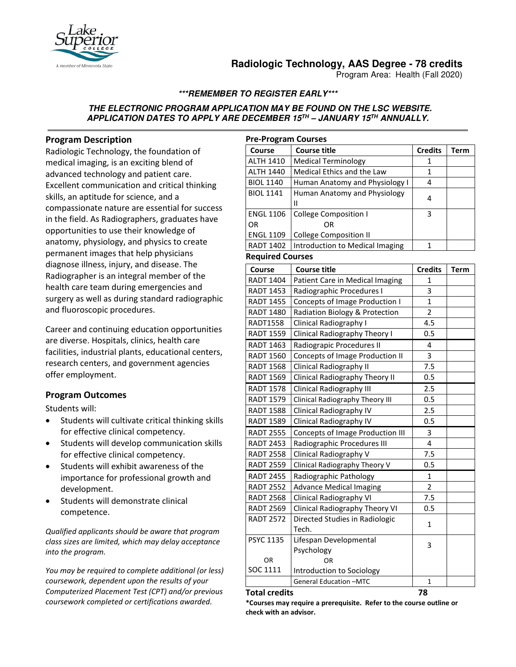

# **Radiologic Technology, AAS Degree - 78 credits**

Program Area: Health (Fall 2020)

## **\*\*\*REMEMBER TO REGISTER EARLY\*\*\***

### **THE ELECTRONIC PROGRAM APPLICATION MAY BE FOUND ON THE LSC WEBSITE. APPLICATION DATES TO APPLY ARE DECEMBER 15TH – JANUARY 15TH ANNUALLY.**

### **Program Description**

Radiologic Technology, the foundation of medical imaging, is an exciting blend of advanced technology and patient care. Excellent communication and critical thinking skills, an aptitude for science, and a compassionate nature are essential for success in the field. As Radiographers, graduates have opportunities to use their knowledge of anatomy, physiology, and physics to create permanent images that help physicians diagnose illness, injury, and disease. The Radiographer is an integral member of the health care team during emergencies and surgery as well as during standard radiographic and fluoroscopic procedures.

Career and continuing education opportunities are diverse. Hospitals, clinics, health care facilities, industrial plants, educational centers, research centers, and government agencies offer employment.

### **Program Outcomes**

Students will:

- Students will cultivate critical thinking skills for effective clinical competency.
- Students will develop communication skills for effective clinical competency.
- Students will exhibit awareness of the importance for professional growth and development.
- Students will demonstrate clinical competence.

*Qualified applicants should be aware that program class sizes are limited, which may delay acceptance into the program.* 

*You may be required to complete additional (or less) coursework, dependent upon the results of your Computerized Placement Test (CPT) and/or previous coursework completed or certifications awarded.*

| <b>Pre-Program Courses</b> |                                 |                |      |  |  |
|----------------------------|---------------------------------|----------------|------|--|--|
| Course                     | <b>Course title</b>             | <b>Credits</b> | Term |  |  |
| <b>ALTH 1410</b>           | <b>Medical Terminology</b>      | 1              |      |  |  |
| <b>ALTH 1440</b>           | Medical Ethics and the Law      | 1              |      |  |  |
| <b>BIOL 1140</b>           | Human Anatomy and Physiology I  | 4              |      |  |  |
| <b>BIOL 1141</b>           | Human Anatomy and Physiology    | 4              |      |  |  |
|                            | н                               |                |      |  |  |
| <b>ENGL 1106</b>           | <b>College Composition I</b>    | 3              |      |  |  |
| OR                         | OR                              |                |      |  |  |
| <b>ENGL 1109</b>           | College Composition II          |                |      |  |  |
| <b>RADT 1402</b>           | Introduction to Medical Imaging |                |      |  |  |

#### **Required Courses**

| Course           | <b>Course title</b>                     | <b>Credits</b> | <b>Term</b> |
|------------------|-----------------------------------------|----------------|-------------|
| <b>RADT 1404</b> | Patient Care in Medical Imaging         | 1              |             |
| <b>RADT 1453</b> | Radiographic Procedures I               | 3              |             |
| <b>RADT 1455</b> | Concepts of Image Production I          | $\mathbf{1}$   |             |
| <b>RADT 1480</b> | Radiation Biology & Protection          | $\overline{2}$ |             |
| <b>RADT1558</b>  | Clinical Radiography I                  | 4.5            |             |
| <b>RADT 1559</b> | Clinical Radiography Theory I           | 0.5            |             |
| <b>RADT 1463</b> | Radiograpic Procedures II               | 4              |             |
| <b>RADT 1560</b> | <b>Concepts of Image Production II</b>  | 3              |             |
| <b>RADT 1568</b> | Clinical Radiography II                 | 7.5            |             |
| <b>RADT 1569</b> | Clinical Radiography Theory II          | 0.5            |             |
| <b>RADT 1578</b> | <b>Clinical Radiography III</b>         | 2.5            |             |
| <b>RADT 1579</b> | <b>Clinical Radiography Theory III</b>  | 0.5            |             |
| <b>RADT 1588</b> | Clinical Radiography IV                 | 2.5            |             |
| <b>RADT 1589</b> | Clinical Radiography IV                 | 0.5            |             |
| <b>RADT 2555</b> | <b>Concepts of Image Production III</b> | 3              |             |
| <b>RADT 2453</b> | Radiographic Procedures III             | 4              |             |
| <b>RADT 2558</b> | Clinical Radiography V                  | 7.5            |             |
| <b>RADT 2559</b> | Clinical Radiography Theory V           | 0.5            |             |
| <b>RADT 2455</b> | Radiographic Pathology                  | $\mathbf{1}$   |             |
| <b>RADT 2552</b> | <b>Advance Medical Imaging</b>          | $\overline{2}$ |             |
| <b>RADT 2568</b> | Clinical Radiography VI                 | 7.5            |             |
| <b>RADT 2569</b> | Clinical Radiography Theory VI          | 0.5            |             |
| <b>RADT 2572</b> | Directed Studies in Radiologic          | 1              |             |
|                  | Tech.                                   |                |             |
| <b>PSYC 1135</b> | Lifespan Developmental                  | 3              |             |
|                  | Psychology                              |                |             |
| <b>OR</b>        | OR                                      |                |             |
| SOC 1111         | Introduction to Sociology               |                |             |
|                  | <b>General Education -MTC</b>           | $\mathbf{1}$   |             |

#### **Total credits 78**

**\*Courses may require a prerequisite. Refer to the course outline or check with an advisor.**